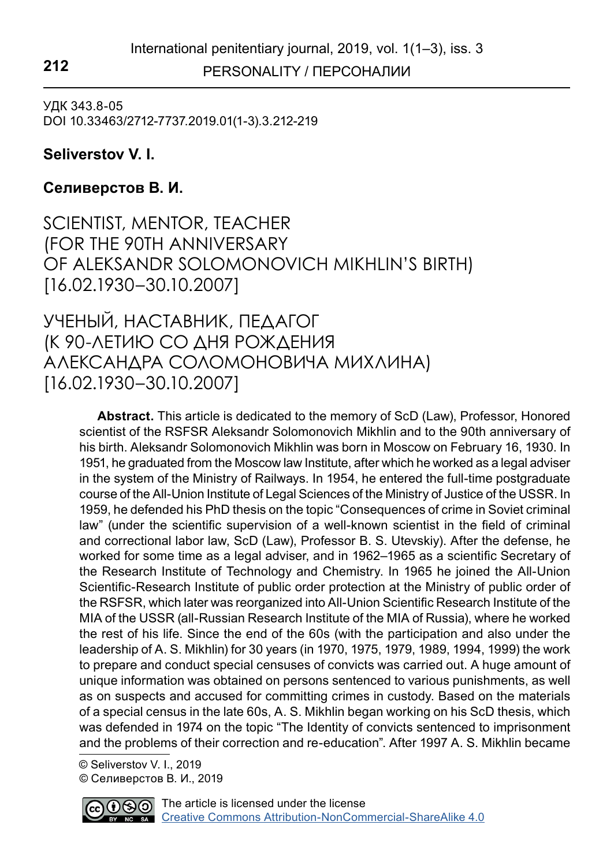PERSONALITY / ПЕРСОНАЛИИ **212**

УДК 343.8-05 DOI 10.33463/2712-7737.2019.01(1-3).3.212-219

## **Seliverstov V. I.**

## **Селиверстов В. И.**

SCIENTIST, MENTOR, TEACHER (FOR THE 90TH ANNIVERSARY OF ALEKSANDR SOLOMONOVICH MIKHLIN'S BIRTH) [16.02.1930–30.10.2007]

УЧЕНЫЙ, НАСТАВНИК, ПЕДАГОГ (К 90-ЛЕТИЮ СО ДНЯ РОЖДЕНИЯ АЛЕКСАНДРА СОЛОМОНОВИЧА МИХЛИНА) [16.02.1930–30.10.2007]

**Abstract.** This article is dedicated to the memory of ScD (Law), Professor, Honored scientist of the RSFSR Aleksandr Solomonovich Mikhlin and to the 90th anniversary of his birth. Aleksandr Solomonovich Mikhlin was born in Moscow on February 16, 1930. In 1951, he graduated from the Moscow law Institute, after which he worked as a legal adviser in the system of the Ministry of Railways. In 1954, he entered the full-time postgraduate course of the All-Union Institute of Legal Sciences of the Ministry of Justice of the USSR. In 1959, he defended his PhD thesis on the topic "Consequences of crime in Soviet criminal law" (under the scientific supervision of a well-known scientist in the field of criminal and correctional labor law, ScD (Law), Professor B. S. Utevskiy). After the defense, he worked for some time as a legal adviser, and in 1962–1965 as a scientific Secretary of the Research Institute of Technology and Chemistry. In 1965 he joined the All-Union Scientific-Research Institute of public order protection at the Ministry of public order of the RSFSR, which later was reorganized into All-Union Scientific Research Institute of the MIA of the USSR (all-Russian Research Institute of the MIA of Russia), where he worked the rest of his life. Since the end of the 60s (with the participation and also under the leadership of A. S. Mikhlin) for 30 years (in 1970, 1975, 1979, 1989, 1994, 1999) the work to prepare and conduct special censuses of convicts was carried out. A huge amount of unique information was obtained on persons sentenced to various punishments, as well as on suspects and accused for committing crimes in custody. Based on the materials of a special census in the late 60s, A. S. Mikhlin began working on his ScD thesis, which was defended in 1974 on the topic "The Identity of convicts sentenced to imprisonment and the problems of their correction and re-education". After 1997 A. S. Mikhlin became

 © Seliverstov V. I., 2019 © Селиверстов В. И., 2019

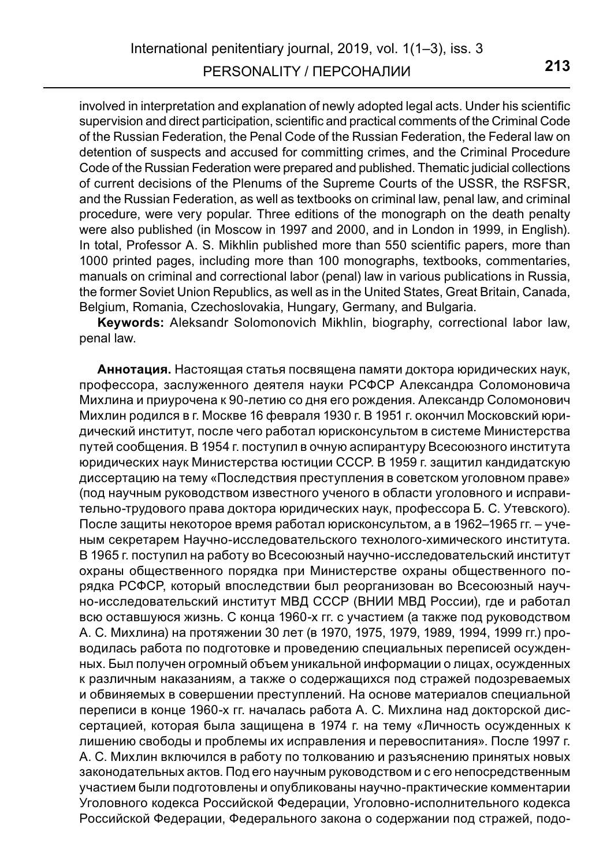involved in interpretation and explanation of newly adopted legal acts. Under his scientific supervision and direct participation, scientific and practical comments of the Criminal Code of the Russian Federation, the Penal Code of the Russian Federation, the Federal law on detention of suspects and accused for committing crimes, and the Criminal Procedure Code of the Russian Federation were prepared and published. Thematic judicial collections of current decisions of the Plenums of the Supreme Courts of the USSR, the RSFSR, and the Russian Federation, as well as textbooks on criminal law, penal law, and criminal procedure, were very popular. Three editions of the monograph on the death penalty were also published (in Moscow in 1997 and 2000, and in London in 1999, in English). In total, Professor A. S. Mikhlin published more than 550 scientific papers, more than 1000 printed pages, including more than 100 monographs, textbooks, commentaries, manuals on criminal and correctional labor (penal) law in various publications in Russia, the former Soviet Union Republics, as well as in the United States, Great Britain, Canada, Belgium, Romania, Czechoslovakia, Hungary, Germany, and Bulgaria.

**Keywords:** Aleksandr Solomonovich Mikhlin, biography, correctional labor law, penal law.

**Аннотация.** Настоящая статья посвящена памяти доктора юридических наук, профессора, заслуженного деятеля науки РСФСР Александра Соломоновича Михлина и приурочена к 90-летию со дня его рождения. Александр Соломонович Михлин родился в г. Москве 16 февраля 1930 г. В 1951 г. окончил Московский юридический институт, после чего работал юрисконсультом в системе Министерства путей сообщения. В 1954 г. поступил в очную аспирантуру Всесоюзного института юридических наук Министерства юстиции СССР. В 1959 г. защитил кандидатскую диссертацию на тему «Последствия преступления в советском уголовном праве» (под научным руководством известного ученого в области уголовного и исправительно-трудового права доктора юридических наук, профессора Б. С. Утевского). После защиты некоторое время работал юрисконсультом, а в 1962–1965 гг. – ученым секретарем Научно-исследовательского технолого-химического института. В 1965 г. поступил на работу во Всесоюзный научно-исследовательский институт охраны общественного порядка при Министерстве охраны общественного порядка РСФСР, который впоследствии был реорганизован во Всесоюзный научно-исследовательский институт МВД СССР (ВНИИ МВД России), где и работал всю оставшуюся жизнь. С конца 1960-х гг. с участием (а также под руководством А. С. Михлина) на протяжении 30 лет (в 1970, 1975, 1979, 1989, 1994, 1999 гг.) проводилась работа по подготовке и проведению специальных переписей осужденных. Был получен огромный объем уникальной информации о лицах, осужденных к различным наказаниям, а также о содержащихся под стражей подозреваемых и обвиняемых в совершении преступлений. На основе материалов специальной переписи в конце 1960-х гг. началась работа А. С. Михлина над докторской диссертацией, которая была защищена в 1974 г. на тему «Личность осужденных к лишению свободы и проблемы их исправления и перевоспитания». После 1997 г. А. С. Михлин включился в работу по толкованию и разъяснению принятых новых законодательных актов. Под его научным руководством и с его непосредственным участием были подготовлены и опубликованы научно-практические комментарии Уголовного кодекса Российской Федерации, Уголовно-исполнительного кодекса Российской Федерации, Федерального закона о содержании под стражей, подо-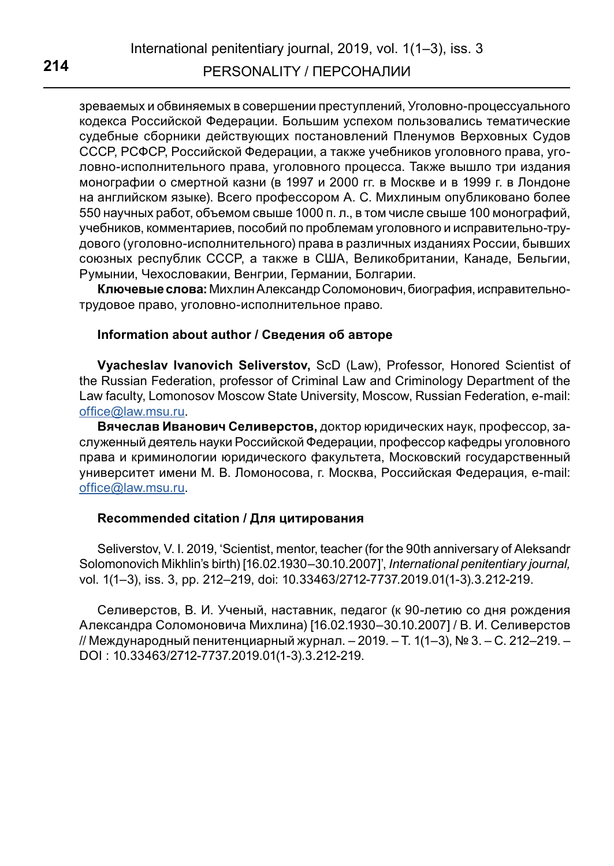зреваемых и обвиняемых в совершении преступлений, Уголовно-процессуального кодекса Российской Федерации. Большим успехом пользовались тематические судебные сборники действующих постановлений Пленумов Верховных Судов СССР, РСФСР, Российской Федерации, а также учебников уголовного права, уголовно-исполнительного права, уголовного процесса. Также вышло три издания монографии о смертной казни (в 1997 и 2000 гг. в Москве и в 1999 г. в Лондоне на английском языке). Всего профессором А. С. Михлиным опубликовано более 550 научных работ, объемом свыше 1000 п. л., в том числе свыше 100 монографий, учебников, комментариев, пособий по проблемам уголовного и исправительно-трудового (уголовно-исполнительного) права в различных изданиях России, бывших союзных республик СССР, а также в США, Великобритании, Канаде, Бельгии, Румынии, Чехословакии, Венгрии, Германии, Болгарии.

**Ключевые слова:** Михлин Александр Соломонович, биография, исправительнотрудовое право, уголовно-исполнительное право.

## **Information about author / Сведения об авторе**

**Vyacheslav Ivanovich Seliverstov,** ScD (Law), Professor, Honored Scientist of the Russian Federation, professor of Criminal Law and Criminology Department of the Law faculty, Lomonosov Moscow State University, Moscow, Russian Federation, e-mail: office@law.msu.ru.

**Вячеслав Иванович Селиверстов,** доктор юридических наук, профессор, заслуженный деятель науки Российской Федерации, профессор кафедры уголовного права и криминологии юридического факультета, Московский государственный университет имени М. В. Ломоносова, г. Москва, Российская Федерация, e-mail: [office@law.msu.ru.](mailto:office%40law.msu.ru?subject=)

## **Recommended citation / Для цитирования**

Seliverstov, V. I. 2019, 'Scientist, mentor, teacher (for the 90th anniversary of Aleksandr Solomonovich Mikhlin's birth) [16.02.1930–30.10.2007]', *International penitentiary journal,*  vol. 1(1–3), iss. 3, pp. 212–219, doi: 10.33463/2712-7737.2019.01(1-3).3.212-219.

Селиверстов, В. И. Ученый, наставник, педагог (к 90-летию со дня рождения Александра Соломоновича Михлина) [16.02.1930–30.10.2007] / В. И. Селиверстов // Международный пенитенциарный журнал. – 2019. – Т. 1(1–3), № 3. – С. 212–219. – DOI : 10.33463/2712-7737.2019.01(1-3).3.212-219.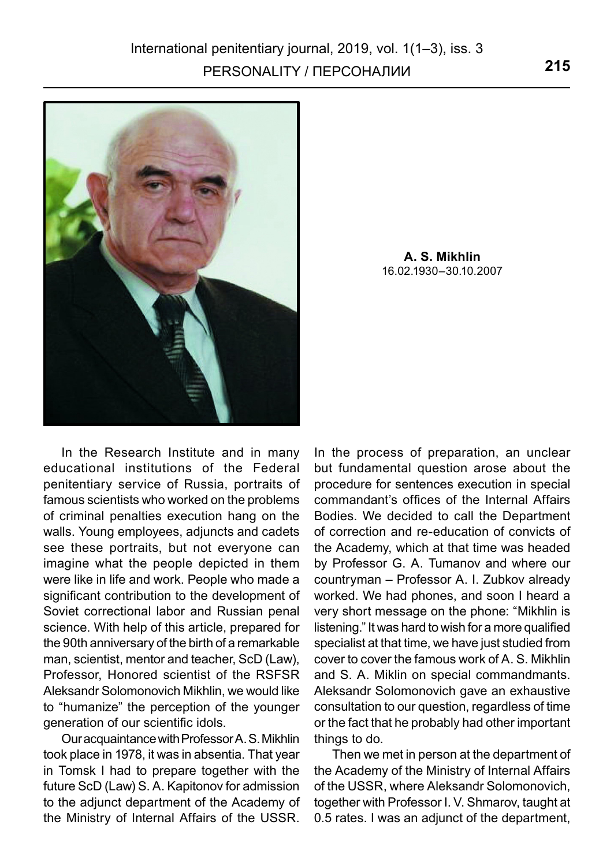

**A. S. Mikhlin** 16.02.1930–30.10.2007

In the Research Institute and in many educational institutions of the Federal penitentiary service of Russia, portraits of famous scientists who worked on the problems of criminal penalties execution hang on the walls. Young employees, adjuncts and cadets see these portraits, but not everyone can imagine what the people depicted in them were like in life and work. People who made a significant contribution to the development of Soviet correctional labor and Russian penal science. With help of this article, prepared for the 90th anniversary of the birth of a remarkable man, scientist, mentor and teacher, ScD (Law), Professor, Honored scientist of the RSFSR Aleksandr Solomonovich Mikhlin, we would like to "humanize" the perception of the younger generation of our scientific idols.

Our acquaintance with Professor A. S. Mikhlin took place in 1978, it was in absentia. That year in Tomsk I had to prepare together with the future ScD (Law) S. A. Kapitonov for admission to the adjunct department of the Academy of the Ministry of Internal Affairs of the USSR.

In the process of preparation, an unclear but fundamental question arose about the procedure for sentences execution in special commandant's offices of the Internal Affairs Bodies. We decided to call the Department of correction and re-education of convicts of the Academy, which at that time was headed by Professor G. A. Tumanov and where our countryman – Professor A. I. Zubkov already worked. We had phones, and soon I heard a very short message on the phone: "Mikhlin is listening." It was hard to wish for a more qualified specialist at that time, we have just studied from cover to cover the famous work of A. S. Mikhlin and S. A. Miklin on special commandmants. Aleksandr Solomonovich gave an exhaustive consultation to our question, regardless of time or the fact that he probably had other important things to do.

Then we met in person at the department of the Academy of the Ministry of Internal Affairs of the USSR, where Aleksandr Solomonovich, together with Professor I. V. Shmarov, taught at 0.5 rates. I was an adjunct of the department,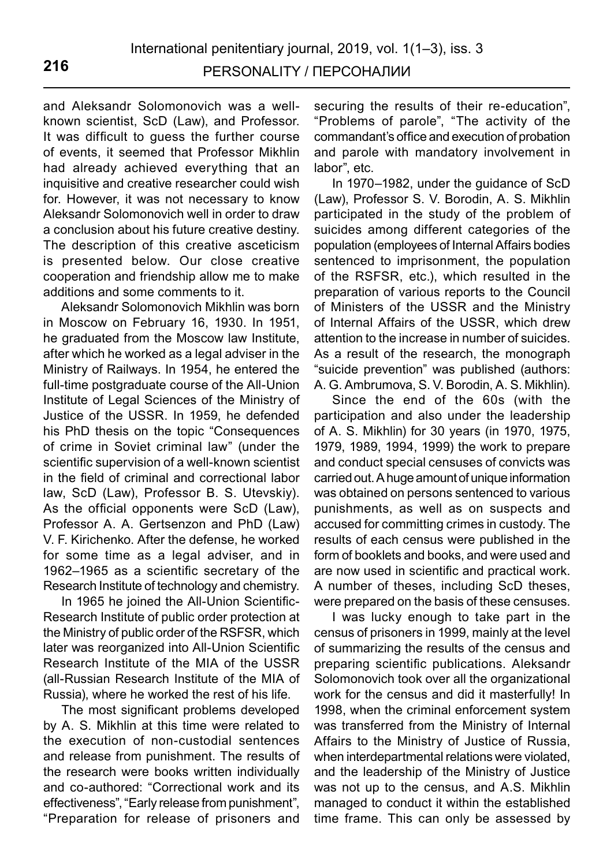and Aleksandr Solomonovich was a wellknown scientist, ScD (Law), and Professor. It was difficult to guess the further course of events, it seemed that Professor Mikhlin had already achieved everything that an inquisitive and creative researcher could wish for. However, it was not necessary to know Aleksandr Solomonovich well in order to draw a conclusion about his future creative destiny. The description of this creative asceticism is presented below. Our close creative cooperation and friendship allow me to make additions and some comments to it.

Aleksandr Solomonovich Mikhlin was born in Moscow on February 16, 1930. In 1951, he graduated from the Moscow law Institute, after which he worked as a legal adviser in the Ministry of Railways. In 1954, he entered the full-time postgraduate course of the All-Union Institute of Legal Sciences of the Ministry of Justice of the USSR. In 1959, he defended his PhD thesis on the topic "Consequences of crime in Soviet criminal law" (under the scientific supervision of a well-known scientist in the field of criminal and correctional labor law, ScD (Law), Professor B. S. Utevskiy). As the official opponents were ScD (Law), Professor A. A. Gertsenzon and PhD (Law) V. F. Kirichenko. After the defense, he worked for some time as a legal adviser, and in 1962–1965 as a scientific secretary of the Research Institute of technology and chemistry.

In 1965 he joined the All-Union Scientific-Research Institute of public order protection at the Ministry of public order of the RSFSR, which later was reorganized into All-Union Scientific Research Institute of the MIA of the USSR (all-Russian Research Institute of the MIA of Russia), where he worked the rest of his life.

The most significant problems developed by A. S. Mikhlin at this time were related to the execution of non-custodial sentences and release from punishment. The results of the research were books written individually and co-authored: "Correctional work and its effectiveness", "Early release from punishment", "Preparation for release of prisoners and securing the results of their re-education", "Problems of parole", "The activity of the commandant's office and execution of probation and parole with mandatory involvement in labor", etc.

In 1970–1982, under the guidance of ScD (Law), Professor S. V. Borodin, A. S. Mikhlin participated in the study of the problem of suicides among different categories of the population (employees of Internal Affairs bodies sentenced to imprisonment, the population of the RSFSR, etc.), which resulted in the preparation of various reports to the Council of Ministers of the USSR and the Ministry of Internal Affairs of the USSR, which drew attention to the increase in number of suicides. As a result of the research, the monograph "suicide prevention" was published (authors: A. G. Ambrumova, S. V. Borodin, A. S. Mikhlin).

Since the end of the 60s (with the participation and also under the leadership of A. S. Mikhlin) for 30 years (in 1970, 1975, 1979, 1989, 1994, 1999) the work to prepare and conduct special censuses of convicts was carried out. A huge amount of unique information was obtained on persons sentenced to various punishments, as well as on suspects and accused for committing crimes in custody. The results of each census were published in the form of booklets and books, and were used and are now used in scientific and practical work. A number of theses, including ScD theses, were prepared on the basis of these censuses.

I was lucky enough to take part in the census of prisoners in 1999, mainly at the level of summarizing the results of the census and preparing scientific publications. Aleksandr Solomonovich took over all the organizational work for the census and did it masterfully! In 1998, when the criminal enforcement system was transferred from the Ministry of Internal Affairs to the Ministry of Justice of Russia, when interdepartmental relations were violated, and the leadership of the Ministry of Justice was not up to the census, and A.S. Mikhlin managed to conduct it within the established time frame. This can only be assessed by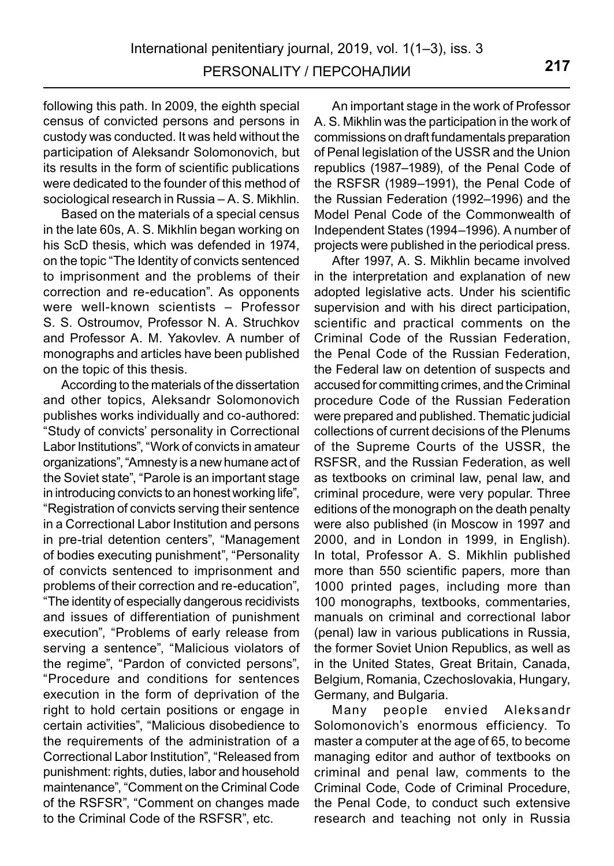following this path. In 2009, the eighth special census of convicted persons and persons in custody was conducted. It was held without the participation of Aleksandr Solomonovich, but its results in the form of scientific publications were dedicated to the founder of this method of sociological research in Russia – A. S. Mikhlin.

Based on the materials of a special census in the late 60s, A. S. Mikhlin began working on his ScD thesis, which was defended in 1974, on the topic "The Identity of convicts sentenced to imprisonment and the problems of their correction and re-education". As opponents were well-known scientists – Professor S. S. Ostroumov, Professor N. A. Struchkov and Professor A. M. Yakovlev. A number of monographs and articles have been published on the topic of this thesis.

According to the materials of the dissertation and other topics, Aleksandr Solomonovich publishes works individually and co-authored: "Study of convicts' personality in Correctional Labor Institutions", "Work of convicts in amateur organizations", "Amnesty is a new humane act of the Soviet state", "Parole is an important stage in introducing convicts to an honest working life", "Registration of convicts serving their sentence in a Correctional Labor Institution and persons in pre-trial detention centers", "Management of bodies executing punishment", "Personality of convicts sentenced to imprisonment and problems of their correction and re-education", "The identity of especially dangerous recidivists and issues of differentiation of punishment execution", "Problems of early release from serving a sentence", "Malicious violators of the regime", "Pardon of convicted persons", "Procedure and conditions for sentences execution in the form of deprivation of the right to hold certain positions or engage in certain activities", "Malicious disobedience to the requirements of the administration of a Correctional Labor Institution", "Released from punishment: rights, duties, labor and household maintenance", "Comment on the Criminal Code of the RSFSR", "Comment on changes made to the Criminal Code of the RSFSR", etc.

An important stage in the work of Professor A. S. Mikhlin was the participation in the work of commissions on draft fundamentals preparation of Penal legislation of the USSR and the Union republics (1987–1989), of the Penal Code of the RSFSR (1989–1991), the Penal Code of the Russian Federation (1992–1996) and the Model Penal Code of the Commonwealth of Independent States (1994–1996). A number of projects were published in the periodical press.

After 1997, A. S. Mikhlin became involved in the interpretation and explanation of new adopted legislative acts. Under his scientific supervision and with his direct participation, scientific and practical comments on the Criminal Code of the Russian Federation, the Penal Code of the Russian Federation, the Federal law on detention of suspects and accused for committing crimes, and the Criminal procedure Code of the Russian Federation were prepared and published. Thematic judicial collections of current decisions of the Plenums of the Supreme Courts of the USSR, the RSFSR, and the Russian Federation, as well as textbooks on criminal law, penal law, and criminal procedure, were very popular. Three editions of the monograph on the death penalty were also published (in Moscow in 1997 and 2000, and in London in 1999, in English). In total, Professor A. S. Mikhlin published more than 550 scientific papers, more than 1000 printed pages, including more than 100 monographs, textbooks, commentaries, manuals on criminal and correctional labor (penal) law in various publications in Russia, the former Soviet Union Republics, as well as in the United States, Great Britain, Canada, Belgium, Romania, Czechoslovakia, Hungary, Germany, and Bulgaria.

Many people envied Aleksandr Solomonovich's enormous efficiency. To master a computer at the age of 65, to become managing editor and author of textbooks on criminal and penal law, comments to the Criminal Code, Code of Criminal Procedure, the Penal Code, to conduct such extensive research and teaching not only in Russia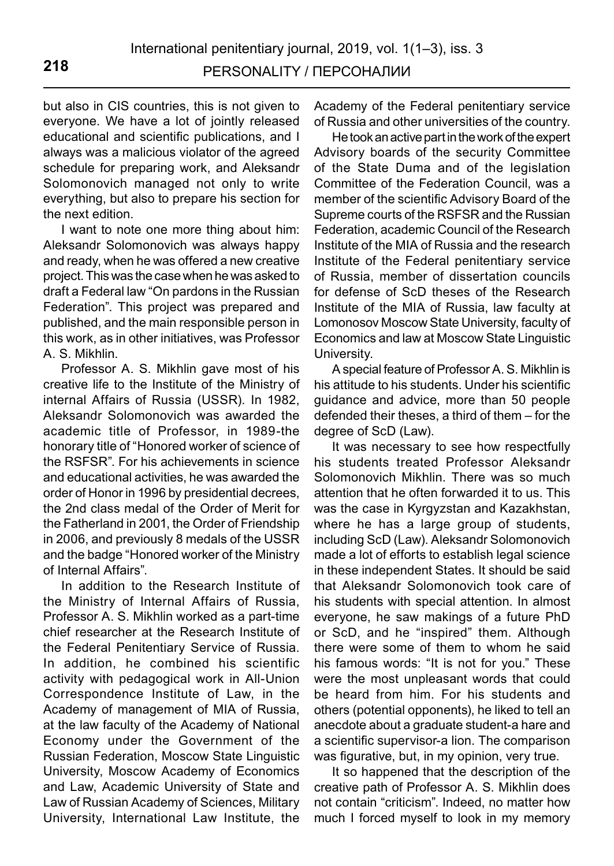but also in CIS countries, this is not given to everyone. We have a lot of jointly released educational and scientific publications, and I always was a malicious violator of the agreed schedule for preparing work, and Aleksandr Solomonovich managed not only to write everything, but also to prepare his section for the next edition.

I want to note one more thing about him: Aleksandr Solomonovich was always happy and ready, when he was offered a new creative project. This was the case when he was asked to draft a Federal law "On pardons in the Russian Federation". This project was prepared and published, and the main responsible person in this work, as in other initiatives, was Professor A. S. Mikhlin.

Professor A. S. Mikhlin gave most of his creative life to the Institute of the Ministry of internal Affairs of Russia (USSR). In 1982, Aleksandr Solomonovich was awarded the academic title of Professor, in 1989-the honorary title of "Honored worker of science of the RSFSR". For his achievements in science and educational activities, he was awarded the order of Honor in 1996 by presidential decrees, the 2nd class medal of the Order of Merit for the Fatherland in 2001, the Order of Friendship in 2006, and previously 8 medals of the USSR and the badge "Honored worker of the Ministry of Internal Affairs".

In addition to the Research Institute of the Ministry of Internal Affairs of Russia, Professor A. S. Mikhlin worked as a part-time chief researcher at the Research Institute of the Federal Penitentiary Service of Russia. In addition, he combined his scientific activity with pedagogical work in All-Union Correspondence Institute of Law, in the Academy of management of MIA of Russia, at the law faculty of the Academy of National Economy under the Government of the Russian Federation, Moscow State Linguistic University, Moscow Academy of Economics and Law, Academic University of State and Law of Russian Academy of Sciences, Military University, International Law Institute, the Academy of the Federal penitentiary service of Russia and other universities of the country.

He took an active part in the work of the expert Advisory boards of the security Committee of the State Duma and of the legislation Committee of the Federation Council, was a member of the scientific Advisory Board of the Supreme courts of the RSFSR and the Russian Federation, academic Council of the Research Institute of the MIA of Russia and the research Institute of the Federal penitentiary service of Russia, member of dissertation councils for defense of ScD theses of the Research Institute of the MIA of Russia, law faculty at Lomonosov Moscow State University, faculty of Economics and law at Moscow State Linguistic University.

A special feature of Professor A. S. Mikhlin is his attitude to his students. Under his scientific guidance and advice, more than 50 people defended their theses, a third of them – for the degree of ScD (Law).

It was necessary to see how respectfully his students treated Professor Aleksandr Solomonovich Mikhlin. There was so much attention that he often forwarded it to us. This was the case in Kyrgyzstan and Kazakhstan, where he has a large group of students, including ScD (Law). Aleksandr Solomonovich made a lot of efforts to establish legal science in these independent States. It should be said that Aleksandr Solomonovich took care of his students with special attention. In almost everyone, he saw makings of a future PhD or ScD, and he "inspired" them. Although there were some of them to whom he said his famous words: "It is not for you." These were the most unpleasant words that could be heard from him. For his students and others (potential opponents), he liked to tell an anecdote about a graduate student-a hare and a scientific supervisor-a lion. The comparison was figurative, but, in my opinion, very true.

It so happened that the description of the creative path of Professor A. S. Mikhlin does not contain "criticism". Indeed, no matter how much I forced myself to look in my memory